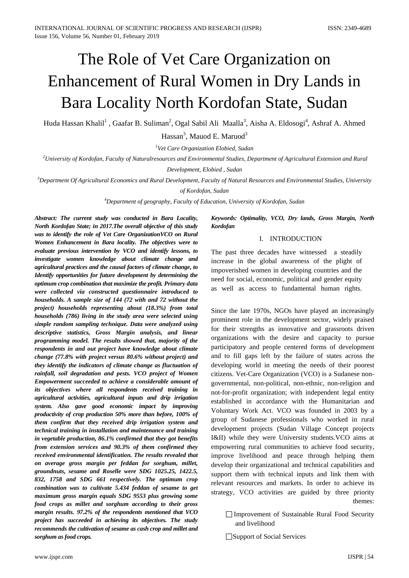# The Role of Vet Care Organization on Enhancement of Rural Women in Dry Lands in Bara Locality North Kordofan State, Sudan

Huda Hassan Khalil<sup>1</sup> , Gaafar B. Suliman<sup>2</sup>, Ogal Sabil Ali Maalla<sup>3</sup>, Aisha A. Eldosogi<sup>4</sup>, Ashraf A. Ahmed

Hassan<sup>3</sup>, Mauod E. Maruod<sup>3</sup>

*1 Vet Care Organization Elobied, Sudan*

*2 University of Kordofan, Faculty of Naturalresources and Environmental Studies, Department of Agricultural Extension and Rural* 

*Development, Elobied , Sudan*

*3 Department Of Agricultural Economics and Rural Development, Faculty of Natural Resources and Environmental Studies, University* 

*of Kordofan, Sudan*

*4 Department of geography, Faculty of Education, University of Kordofan, Sudan*

*Abstract: The current study was conducted in Bara Locality, North Kordofan State; in 2017.The overall objective of this study was to identify the role of Vet Care OrganizationVCO on Rural Women Enhancement in Bara locality. The objectives were to evaluate previous intervention by VCO and identify lessons, to investigate women knowledge about climate change and agricultural practices and the causal factors of climate change, to Identify opportunities for future development by determining the optimum crop combination that maximize the profit. Primary data were collected via constructed questionnaire introduced to households. A sample size of 144 (72 with and 72 without the project) households representing about (18.3%) from total households (786) living in the study area were selected using simple random sampling technique. Data were analyzed using descriptive statistics, Gross Margin analysis, and linear programming model. The results showed that, majority of the respondents in and out project have knowledge about climate change (77.8% with project versus 80.6% without project) and they identify the indicators of climate change as fluctuation of rainfall, soil degradation and pests. VCO project of Women Empowerment succeeded to achieve a considerable amount of its objectives where all respondents received training in agricultural activities, agricultural inputs and drip irrigation system. Also gave good economic impact by improving productivity of crop production 50% more than before, 100% of them confirm that they received drip irrigation system and technical training in installation and maintenance and training in vegetable production, 86.1% confirmed that they got benefits from extension services and 90.3% of them confirmed they received environmental identification. The results revealed that on average gross margin per feddan for sorghum, millet, groundnuts, sesame and Roselle were SDG 1025.25, 1422.5, 832, 1758 and SDG 661 respectively. The optimum crop combination was to cultivate 5.434 feddan of sesame to get maximum gross margin equals SDG 9553 plus growing some food crops as millet and sorghum according to their gross margin results. 97.2% of the respondents mentioned that VCO project has succeeded in achieving its objectives. The study recommends the cultivation of sesame as cash crop and millet and sorghum as food crops.* 

*Keywords: Optimality, VCO, Dry lands, Gross Margin, North Kordofan*

## I. INTRODUCTION

The past three decades have witnessed a steadily increase in the global awareness of the plight of impoverished women in developing countries and the need for social, economic, political and gender equity as well as access to fundamental human rights.

Since the late 1970s, NGOs have played an increasingly prominent role in the development sector, widely praised for their strengths as innovative and grassroots driven organizations with the desire and capacity to pursue participatory and people centered forms of development and to fill gaps left by the failure of states across the developing world in meeting the needs of their poorest citizens. Vet-Care Organization (VCO) is a Sudanese nongovernmental, non-political, non-ethnic, non-religion and not-for-profit organization; with independent legal entity established in accordance with the Humanitarian and Voluntary Work Act. VCO was founded in 2003 by a group of Sudanese professionals who worked in rural development projects (Sudan Village Concept projects I&II) while they were University students.VCO aims at empowering rural communities to achieve food security, improve livelihood and peace through helping them develop their organizational and technical capabilities and support them with technical inputs and link them with relevant resources and markets. In order to achieve its strategy, VCO activities are guided by three priority themes:

 Improvement of Sustainable Rural Food Security and livelihood

□Support of Social Services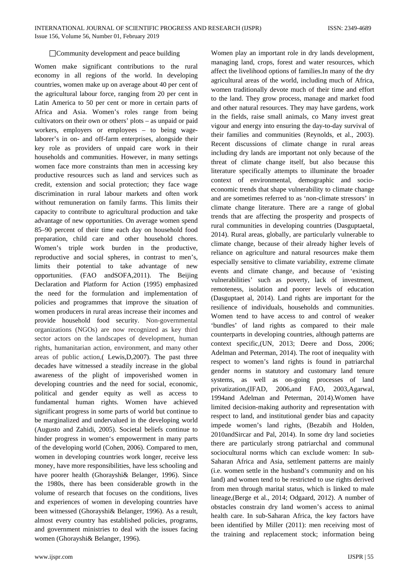#### □ Community development and peace building

Women make significant contributions to the rural economy in all regions of the world. In developing countries, women make up on average about 40 per cent of the agricultural labour force, ranging from 20 per cent in Latin America to 50 per cent or more in certain parts of Africa and Asia. Women's roles range from being cultivators on their own or others' plots – as unpaid or paid workers, employers or employees – to being wagelaborer's in on- and off-farm enterprises, alongside their key role as providers of unpaid care work in their households and communities. However, in many settings women face more constraints than men in accessing key productive resources such as land and services such as credit, extension and social protection; they face wage discrimination in rural labour markets and often work without remuneration on family farms. This limits their capacity to contribute to agricultural production and take advantage of new opportunities. On average women spend 85–90 percent of their time each day on household food preparation, child care and other household chores. Women's triple work burden in the productive, reproductive and social spheres, in contrast to men's, limits their potential to take advantage of new opportunities. (FAO andSOFA,2011). The Beijing Declaration and Platform for Action (1995) emphasized the need for the formulation and implementation of policies and programmes that improve the situation of women producers in rural areas increase their incomes and provide household food security. Non-governmental organizations (NGOs) are now recognized as key third sector actors on the landscapes of development, human rights, humanitarian action, environment, and many other areas of public action,( Lewis,D,2007). The past three decades have witnessed a steadily increase in the global awareness of the plight of impoverished women in developing countries and the need for social, economic, political and gender equity as well as access to fundamental human rights. Women have achieved significant progress in some parts of world but continue to be marginalized and undervalued in the developing world (Augusto and Zahidi, 2005). Societal beliefs continue to hinder progress in women's empowerment in many parts of the developing world (Cohen, 2006). Compared to men, women in developing countries work longer, receive less money, have more responsibilities, have less schooling and have poorer health (Ghorayshi& Belanger, 1996). Since the 1980s, there has been considerable growth in the volume of research that focuses on the conditions, lives and experiences of women in developing countries have been witnessed (Ghorayshi& Belanger, 1996). As a result, almost every country has established policies, programs, and government ministries to deal with the issues facing women (Ghorayshi& Belanger, 1996).

Women play an important role in dry lands development, managing land, crops, forest and water resources, which affect the livelihood options of families.In many of the dry agricultural areas of the world, including much of Africa, women traditionally devote much of their time and effort to the land. They grow process, manage and market food and other natural resources. They may have gardens, work in the fields, raise small animals, co Many invest great vigour and energy into ensuring the day-to-day survival of their families and communities (Reynolds, et al., 2003). Recent discussions of climate change in rural areas including dry lands are important not only because of the threat of climate change itself, but also because this literature specifically attempts to illuminate the broader context of environmental, demographic and socioeconomic trends that shape vulnerability to climate change and are sometimes referred to as 'non-climate stressors' in climate change literature. There are a range of global trends that are affecting the prosperity and prospects of rural communities in developing countries (Dasguptaetal, 2014). Rural areas, globally, are particularly vulnerable to climate change, because of their already higher levels of reliance on agriculture and natural resources make them especially sensitive to climate variability, extreme climate events and climate change, and because of 'existing vulnerabilities' such as poverty, lack of investment, remoteness, isolation and poorer levels of education (Dasguptaet al, 2014). Land rights are important for the resilience of individuals, households and communities. Women tend to have access to and control of weaker 'bundles' of land rights as compared to their male counterparts in developing countries, although patterns are context specific,(UN, 2013; Deere and Doss, 2006; Adelman and Peterman, 2014). The root of inequality with respect to women's land rights is found in patriarchal gender norms in statutory and customary land tenure systems, as well as on-going processes of land privatization,(IFAD, 2006,and FAO, 2003,Agarwal, 1994and Adelman and Peterman, 2014).Women have limited decision-making authority and representation with respect to land, and institutional gender bias and capacity impede women's land rights, (Bezabih and Holden, 2010andSircar and Pal, 2014). In some dry land societies there are particularly strong patriarchal and communal sociocultural norms which can exclude women: In sub-Saharan Africa and Asia, settlement patterns are mainly (i.e. women settle in the husband's community and on his land) and women tend to be restricted to use rights derived from men through marital status, which is linked to male lineage,(Berge et al., 2014; Odgaard, 2012). A number of obstacles constrain dry land women's access to animal health care. In sub-Saharan Africa, the key factors have been identified by Miller (2011): men receiving most of the training and replacement stock; information being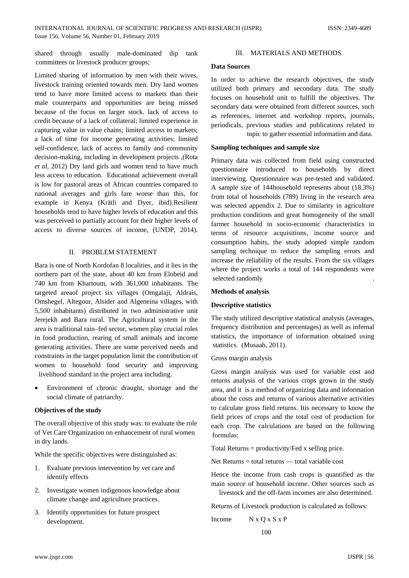shared through usually male-dominated dip tank committees or livestock producer groups;

Limited sharing of information by men with their wives, livestock training oriented towards men. Dry land women tend to have more limited access to markets than their male counterparts and opportunities are being missed because of the focus on larger stock. lack of access to credit because of a lack of collateral; limited experience in capturing value in value chains; limited access to markets; a lack of time for income generating activities; limited self-confidence; lack of access to family and community decision-making, including in development projects ,(Rota *et al*, 2012) Dry land girls and women tend to have much less access to education. Educational achievement overall is low for pastoral areas of African countries compared to national averages and girls fare worse than this, for example in Kenya (Krätli and Dyer, ibid).Resilient households tend to have higher levels of education and this was perceived to partially account for their higher levels of access to diverse sources of income, (UNDP, 2014).

### II. PROBLEM STATEMENT

Bara is one of North Kordofan 8 localities, and it lies in the northern part of the state, about 40 km from Elobeid and 740 km from Khartoum, with 361,000 inhabitants. The targeted areaof project six villages (Omgalaji, Aldrais, Omshegel, Altegour, Alsider and Algeneina villages, with 5,500 inhabitants) distributed in two administrative unit Jerejekh and Bara rural. The Agricultural system in the area is traditional rain–fed sector, women play crucial roles in food production, rearing of small animals and income generating activities. There are some perceived needs and constraints in the target population limit the contribution of women to household food security and improving livelihood standard in the project area including.

Environment of chronic draught, shortage and the social climate of patriarchy.

### **Objectives of the study**

The overall objective of this study was: to evaluate the role of Vet Care Organization on enhancement of rural women in dry lands.

While the specific objectives were distinguished as:

- 1. Evaluate previous intervention by vet care and identify effects
- 2. Investigate women indigenous knowledge about climate change and agriculture practices.
- 3. Identify opportunities for future prospect development.

#### III. MATERIALS AND METHODS

## **Data Sources**

In order to achieve the research objectives, the study utilized both primary and secondary data. The study focuses on household unit to fulfill the objectives. The secondary data were obtained from different sources, such as references, internet and workshop reports, journals, periodicals, previous studies and publications related to topic to gather essential information and data.

#### **Sampling techniques and sample size**

Primary data was collected from field using constructed questionnaire introduced to households by direct interviewing. Questionnaire was pre-tested and validated. A sample size of 144household represents about (18.3%) from total of households (789) living in the research area was selected appendix 2. Due to similarity in agriculture production conditions and great homogeneity of the small farmer household in socio-economic characteristics in terms of resource acquisitions, income source and consumption habits, the study adopted simple random sampling technique to reduce the sampling errors and increase the reliability of the results. From the six villages where the project works a total of 144 respondents were selected randomly

#### **Methods of analysis**

### **Descriptive statistics**

The study utilized descriptive statistical analysis (averages, frequency distribution and percentages) as well as infernal statistics, the importance of information obtained using statistics. (Musaab, 2011).

#### Gross margin analysis

Gross margin analysis was used for variable cost and returns analysis of the various crops grown in the study area, and it is a method of organizing data and information about the costs and returns of various alternative activities to calculate gross field returns. Itis necessary to know the field prices of crops and the total cost of production for each crop. The calculations are based on the following formulas:

Total Returns = productivity/Fed x selling price.

Net Returns  $=$  total returns  $-$  total variable cost

Hence the income from cash crops is quantified as the main source of household income. Other sources such as livestock and the off-farm incomes are also determined.

Returns of Livestock production is calculated as follows:

Income N x Q x S x P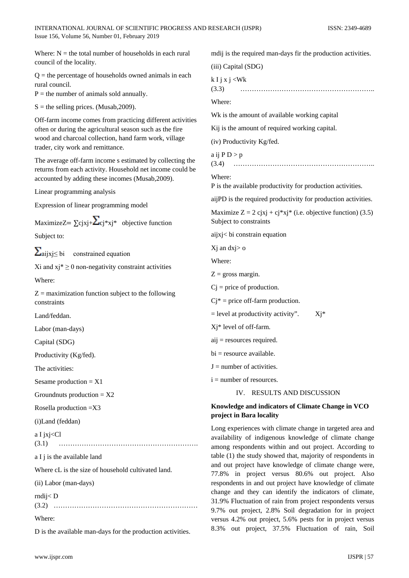Where:  $N =$  the total number of households in each rural council of the locality.  $Q =$  the percentage of households owned animals in each rural council.  $P =$  the number of animals sold annually.  $S =$  the selling prices. (Musab, 2009). Off-farm income comes from practicing different activities often or during the agricultural season such as the fire wood and charcoal collection, hand farm work, village trader, city work and remittance. The average off-farm income s estimated by collecting the returns from each activity. Household net income could be accounted by adding these incomes (Musab,2009). Linear programming analysis Expression of linear programming model MaximizeZ=  $\Sigma$ cjxj+ $\Sigma$ cj\*xj\* objective function Subject to:  $\sum_{\text{aijxi} \leq \text{bi}}$  constrained equation Xi and  $xi^* \ge 0$  non-negativity constraint activities Where:  $Z =$  maximization function subject to the following constraints Land/feddan. Labor (man-days) Capital (SDG) Productivity (Kg/fed). The activities: Sesame production  $= X1$ Groundnuts production  $= X2$ Rosella production =X3 (i)Land (feddan) a I jxj<Cl (3.1) ……………………………………………………. a I j is the available land Where cL is the size of household cultivated land. (ii) Labor (man-days) rndij< D (3.2) ……………………………………………………… Where: D is the available man-days for the production activities. mdij is the required man-days fir the production activities. (iii) Capital (SDG)  $k I j x j < W k$ (3.3) ………………………………………………….. Where: Wk is the amount of available working capital Kij is the amount of required working capital. (iv) Productivity Kg/fed. a ij  $P D > p$ (3.4) …………………………………………………….. Where: P is the available productivity for production activities. aijPD is the required productivity for production activities. Maximize  $Z = 2$  cjxj + cj\*xj\* (i.e. objective function) (3.5) Subject to constraints aijxj< bi constrain equation Xj an dxj> o Where:  $Z =$  gross margin.  $Cj$  = price of production.  $Ci^*$  = price off-farm production.  $=$  level at productivity activity".  $X_i^*$ Xj\* level of off-farm. aij = resources required.  $bi =$  resource available.  $I =$  number of activities.  $i =$  number of resources. IV. RESULTS AND DISCUSSION **Knowledge and indicators of Climate Change in VCO project in Bara locality** Long experiences with climate change in targeted area and availability of indigenous knowledge of climate change among respondents within and out project. According to table (1) the study showed that, majority of respondents in and out project have knowledge of climate change were, 77.8% in project versus 80.6% out project. Also respondents in and out project have knowledge of climate change and they can identify the indicators of climate, 31.9% Fluctuation of rain from project respondents versus 9.7% out project, 2.8% Soil degradation for in project versus 4.2% out project, 5.6% pests for in project versus 8.3% out project, 37.5% Fluctuation of rain, Soil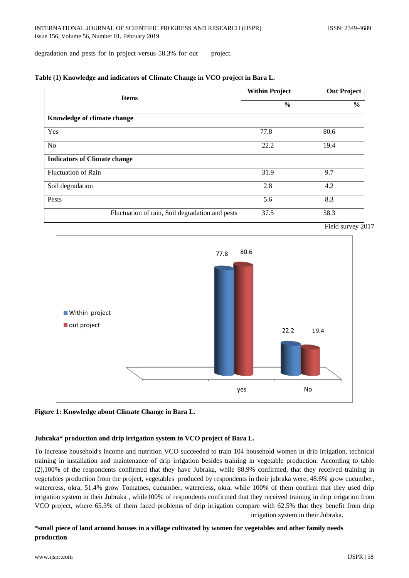degradation and pests for in project versus 58.3% for out project.

|  |  | Table (1) Knowledge and indicators of Climate Change in VCO project in Bara L. |  |
|--|--|--------------------------------------------------------------------------------|--|
|  |  |                                                                                |  |

| <b>Items</b>                                    | <b>Within Project</b> | <b>Out Project</b> |  |
|-------------------------------------------------|-----------------------|--------------------|--|
|                                                 | $\frac{6}{6}$         | $\frac{6}{9}$      |  |
| Knowledge of climate change                     |                       |                    |  |
| Yes                                             | 77.8                  | 80.6               |  |
| <b>No</b>                                       | 22.2                  | 19.4               |  |
| <b>Indicators of Climate change</b>             |                       |                    |  |
| <b>Fluctuation of Rain</b>                      | 31.9                  | 9.7                |  |
| Soil degradation                                | 2.8                   | 4.2                |  |
| Pests                                           | 5.6                   | 8.3                |  |
| Fluctuation of rain, Soil degradation and pests | 37.5                  | 58.3               |  |





**Figure 1: Knowledge about Climate Change in Bara L.**

## **Jubraka\* production and drip irrigation system in VCO project of Bara L.**

To increase household's income and nutrition VCO succeeded to train 104 household women in drip irrigation, technical training in installation and maintenance of drip irrigation besides training in vegetable production. According to table (2),100% of the respondents confirmed that they have Jubraka, while 88.9% confirmed, that they received training in vegetables production from the project, vegetables produced by respondents in their jubraka were, 48.6% grow cucumber, watercress, okra, 51.4% grow Tomatoes, cucumber, watercress, okra, while 100% of them confirm that they used drip irrigation system in their Jubraka , while100% of respondents confirmed that they received training in drip irrigation from VCO project, where 65.3% of them faced problems of drip irrigation compare with 62.5% that they benefit from drip irrigation system in their Jubraka.

## \***small piece of land around houses in a village cultivated by women for vegetables and other family needs production**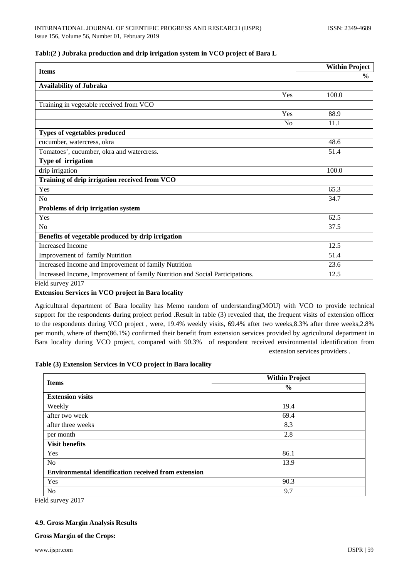## **Tabl:(2 ) Jubraka production and drip irrigation system in VCO project of Bara L**

| <b>Items</b>                                                                 |                | <b>Within Project</b> |
|------------------------------------------------------------------------------|----------------|-----------------------|
|                                                                              |                | $\frac{6}{6}$         |
| <b>Availability of Jubraka</b>                                               |                |                       |
|                                                                              | Yes            | 100.0                 |
| Training in vegetable received from VCO                                      |                |                       |
|                                                                              | Yes            | 88.9                  |
|                                                                              | N <sub>0</sub> | 11.1                  |
| Types of vegetables produced                                                 |                |                       |
| cucumber, watercress, okra                                                   |                | 48.6                  |
| Tomatoes', cucumber, okra and watercress.                                    |                | 51.4                  |
| Type of irrigation                                                           |                |                       |
| drip irrigation                                                              |                | 100.0                 |
| Training of drip irrigation received from VCO                                |                |                       |
| Yes                                                                          |                | 65.3                  |
| No                                                                           |                | 34.7                  |
| Problems of drip irrigation system                                           |                |                       |
| Yes                                                                          |                | 62.5                  |
| No                                                                           |                | 37.5                  |
| Benefits of vegetable produced by drip irrigation                            |                |                       |
| <b>Increased Income</b>                                                      |                | 12.5                  |
| Improvement of family Nutrition                                              |                | 51.4                  |
| Increased Income and Improvement of family Nutrition                         |                | 23.6                  |
| Increased Income, Improvement of family Nutrition and Social Participations. |                | 12.5                  |

Field survey 2017

## **Extension Services in VCO project in Bara locality**

Agricultural department of Bara locality has Memo random of understanding(MOU) with VCO to provide technical support for the respondents during project period .Result in table (3) revealed that, the frequent visits of extension officer to the respondents during VCO project , were, 19.4% weekly visits, 69.4% after two weeks,8.3% after three weeks,2.8% per month, where of them(86.1%) confirmed their benefit from extension services provided by agricultural department in Bara locality during VCO project, compared with 90.3% of respondent received environmental identification from extension services providers .

## **Table (3) Extension Services in VCO project in Bara locality**

| <b>Items</b>                                                | <b>Within Project</b> |
|-------------------------------------------------------------|-----------------------|
|                                                             | $\frac{6}{9}$         |
| <b>Extension visits</b>                                     |                       |
| Weekly                                                      | 19.4                  |
| after two week                                              | 69.4                  |
| after three weeks                                           | 8.3                   |
| per month                                                   | 2.8                   |
| <b>Visit benefits</b>                                       |                       |
| Yes                                                         | 86.1                  |
| N <sub>o</sub>                                              | 13.9                  |
| <b>Environmental identification received from extension</b> |                       |
| Yes                                                         | 90.3                  |
| N <sub>o</sub>                                              | 9.7                   |

Field survey 2017

## **4.9. Gross Margin Analysis Results**

## **Gross Margin of the Crops:**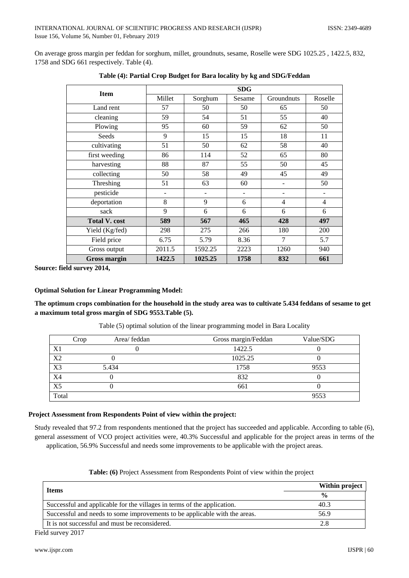On average gross margin per feddan for sorghum, millet, groundnuts, sesame, Roselle were SDG 1025.25 , 1422.5, 832, 1758 and SDG 661 respectively. Table (4).

| <b>Item</b>          | <b>SDG</b> |         |        |                |                |  |  |
|----------------------|------------|---------|--------|----------------|----------------|--|--|
|                      | Millet     | Sorghum | Sesame | Groundnuts     | Roselle        |  |  |
| Land rent            | 57         | 50      | 50     | 65             | 50             |  |  |
| cleaning             | 59         | 54      | 51     | 55             | 40             |  |  |
| Plowing              | 95         | 60      | 59     | 62             | 50             |  |  |
| Seeds                | 9          | 15      | 15     | 18             | 11             |  |  |
| cultivating          | 51         | 50      | 62     | 58             | 40             |  |  |
| first weeding        | 86         | 114     | 52     | 65             | 80             |  |  |
| harvesting           | 88         | 87      | 55     | 50             | 45             |  |  |
| collecting           | 50         | 58      | 49     | 45             | 49             |  |  |
| Threshing            | 51         | 63      | 60     |                | 50             |  |  |
| pesticide            |            |         |        |                |                |  |  |
| deportation          | 8          | 9       | 6      | $\overline{4}$ | $\overline{4}$ |  |  |
| sack                 | 9          | 6       | 6      | 6              | 6              |  |  |
| <b>Total V. cost</b> | 589        | 567     | 465    | 428            | 497            |  |  |
| Yield (Kg/fed)       | 298        | 275     | 266    | 180            | 200            |  |  |
| Field price          | 6.75       | 5.79    | 8.36   | 7              | 5.7            |  |  |
| Gross output         | 2011.5     | 1592.25 | 2223   | 1260           | 940            |  |  |
| <b>Gross margin</b>  | 1422.5     | 1025.25 | 1758   | 832            | 661            |  |  |

|  |  |  | Table (4): Partial Crop Budget for Bara locality by kg and SDG/Feddan |  |  |
|--|--|--|-----------------------------------------------------------------------|--|--|
|  |  |  |                                                                       |  |  |

**Source: field survey 2014,** 

#### **Optimal Solution for Linear Programming Model:**

**The optimum crops combination for the household in the study area was to cultivate 5.434 feddans of sesame to get a maximum total gross margin of SDG 9553.Table (5).**

|       | Crop | Area/ feddan | Gross margin/Feddan | Value/SDG |  |
|-------|------|--------------|---------------------|-----------|--|
| X1    |      |              | 1422.5              |           |  |
| X2    |      |              | 1025.25             |           |  |
| X3    |      | 5.434        | 1758                | 9553      |  |
| X4    |      |              | 832                 |           |  |
| X5    |      |              | 661                 |           |  |
| Total |      |              |                     | 9553      |  |

Table (5) optimal solution of the linear programming model in Bara Locality

# **Project Assessment from Respondents Point of view within the project:**

Study revealed that 97.2 from respondents mentioned that the project has succeeded and applicable. According to table (6), general assessment of VCO project activities were, 40.3% Successful and applicable for the project areas in terms of the application, 56.9% Successful and needs some improvements to be applicable with the project areas.

| <b>Items</b>                                                               | Within project |  |
|----------------------------------------------------------------------------|----------------|--|
|                                                                            | $\frac{0}{0}$  |  |
| Successful and applicable for the villages in terms of the application.    | 40.3           |  |
| Successful and needs to some improvements to be applicable with the areas. | 56.9           |  |
| It is not successful and must be reconsidered.                             | 2.8            |  |

#### **Table: (6)** Project Assessment from Respondents Point of view within the project